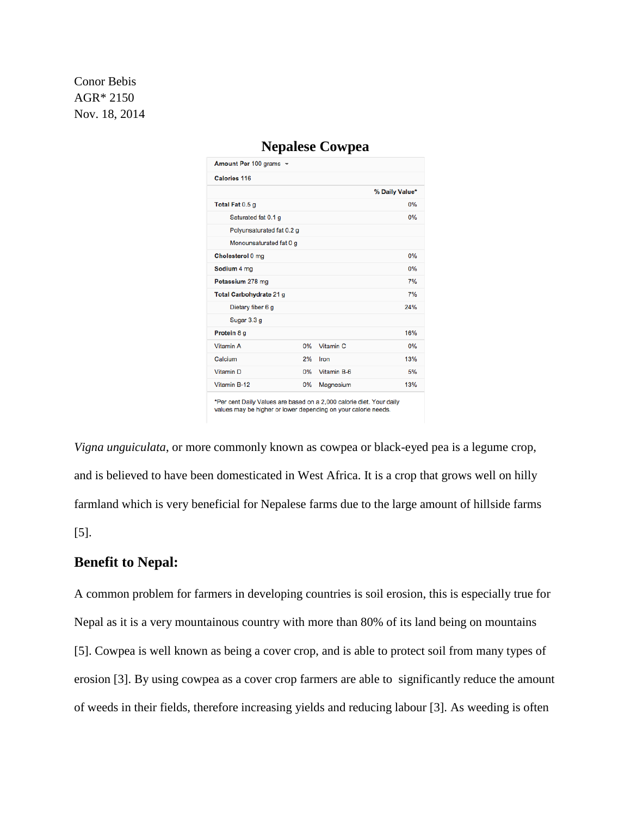Conor Bebis AGR\* 2150 Nov. 18, 2014

| Amount Per 100 grams -    |    |                      |                |
|---------------------------|----|----------------------|----------------|
| Calories 116              |    |                      |                |
|                           |    |                      | % Daily Value* |
| Total Fat 0.5 g           |    |                      | 0%             |
| Saturated fat 0.1 g       |    |                      | 0%             |
| Polyunsaturated fat 0.2 g |    |                      |                |
| Monounsaturated fat 0 g   |    |                      |                |
| Cholesterol 0 mg          |    |                      | 0%             |
| Sodium 4 mg               |    |                      | 0%             |
| Potassium 278 mg          |    |                      | 7%             |
| Total Carbohydrate 21 g   |    |                      | 7%             |
| Dietary fiber 6 g         |    |                      | 24%            |
| Sugar 3.3 g               |    |                      |                |
| Protein 8 g               |    |                      | 16%            |
| Vitamin A                 | 0% | Vitamin <sub>C</sub> | 0%             |
| Calcium                   | 2% | Iron                 | 13%            |
| Vitamin D                 | 0% | Vitamin B-6          | 5%             |
| Vitamin B-12              | 0% | Magnesium            | 13%            |

# **Nepalese Cowpea**

'Per cent Daily Values are based on a 2,000 calorie diet. Your daily values may be higher or lower depending on your calorie needs.

*Vigna unguiculata*, or more commonly known as cowpea or black-eyed pea is a legume crop, and is believed to have been domesticated in West Africa. It is a crop that grows well on hilly farmland which is very beneficial for Nepalese farms due to the large amount of hillside farms [5].

## **Benefit to Nepal:**

A common problem for farmers in developing countries is soil erosion, this is especially true for Nepal as it is a very mountainous country with more than 80% of its land being on mountains [5]. Cowpea is well known as being a cover crop, and is able to protect soil from many types of erosion [3]. By using cowpea as a cover crop farmers are able to significantly reduce the amount of weeds in their fields, therefore increasing yields and reducing labour [3]. As weeding is often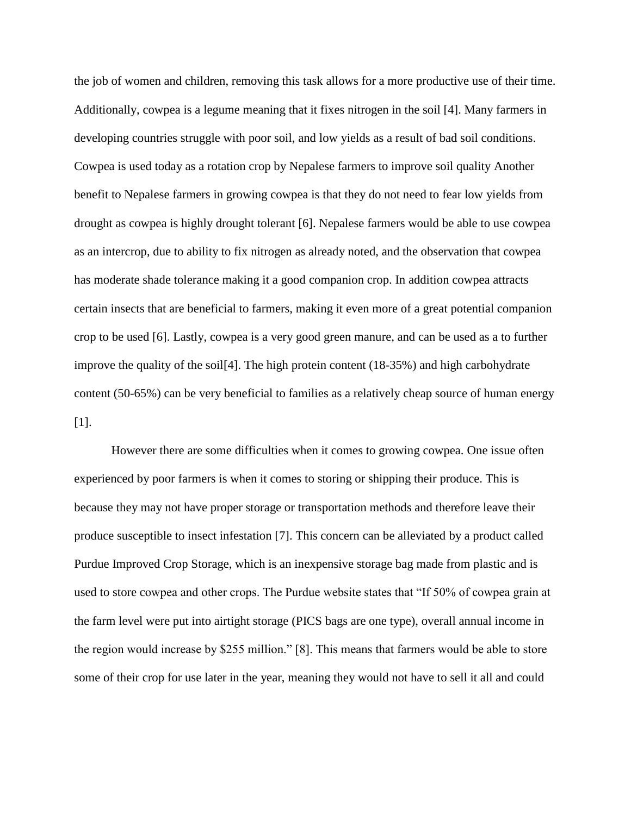the job of women and children, removing this task allows for a more productive use of their time. Additionally, cowpea is a legume meaning that it fixes nitrogen in the soil [4]. Many farmers in developing countries struggle with poor soil, and low yields as a result of bad soil conditions. Cowpea is used today as a rotation crop by Nepalese farmers to improve soil quality Another benefit to Nepalese farmers in growing cowpea is that they do not need to fear low yields from drought as cowpea is highly drought tolerant [6]. Nepalese farmers would be able to use cowpea as an intercrop, due to ability to fix nitrogen as already noted, and the observation that cowpea has moderate shade tolerance making it a good companion crop. In addition cowpea attracts certain insects that are beneficial to farmers, making it even more of a great potential companion crop to be used [6]. Lastly, cowpea is a very good green manure, and can be used as a to further improve the quality of the soil[4]. The high protein content (18-35%) and high carbohydrate content (50-65%) can be very beneficial to families as a relatively cheap source of human energy [1].

However there are some difficulties when it comes to growing cowpea. One issue often experienced by poor farmers is when it comes to storing or shipping their produce. This is because they may not have proper storage or transportation methods and therefore leave their produce susceptible to insect infestation [7]. This concern can be alleviated by a product called Purdue Improved Crop Storage, which is an inexpensive storage bag made from plastic and is used to store cowpea and other crops. The Purdue website states that "If 50% of cowpea grain at the farm level were put into airtight storage (PICS bags are one type), overall annual income in the region would increase by \$255 million." [8]. This means that farmers would be able to store some of their crop for use later in the year, meaning they would not have to sell it all and could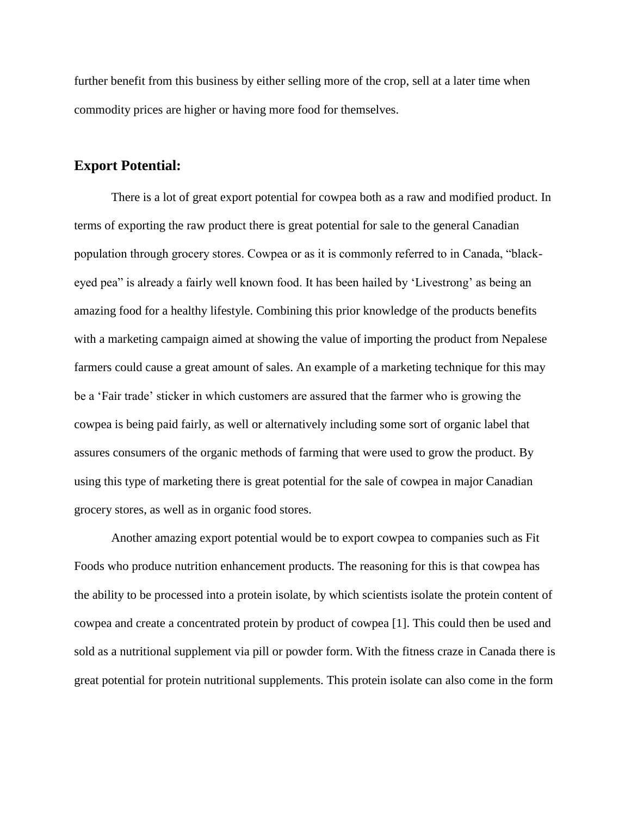further benefit from this business by either selling more of the crop, sell at a later time when commodity prices are higher or having more food for themselves.

# **Export Potential:**

There is a lot of great export potential for cowpea both as a raw and modified product. In terms of exporting the raw product there is great potential for sale to the general Canadian population through grocery stores. Cowpea or as it is commonly referred to in Canada, "blackeyed pea" is already a fairly well known food. It has been hailed by 'Livestrong' as being an amazing food for a healthy lifestyle. Combining this prior knowledge of the products benefits with a marketing campaign aimed at showing the value of importing the product from Nepalese farmers could cause a great amount of sales. An example of a marketing technique for this may be a 'Fair trade' sticker in which customers are assured that the farmer who is growing the cowpea is being paid fairly, as well or alternatively including some sort of organic label that assures consumers of the organic methods of farming that were used to grow the product. By using this type of marketing there is great potential for the sale of cowpea in major Canadian grocery stores, as well as in organic food stores.

Another amazing export potential would be to export cowpea to companies such as Fit Foods who produce nutrition enhancement products. The reasoning for this is that cowpea has the ability to be processed into a protein isolate, by which scientists isolate the protein content of cowpea and create a concentrated protein by product of cowpea [1]. This could then be used and sold as a nutritional supplement via pill or powder form. With the fitness craze in Canada there is great potential for protein nutritional supplements. This protein isolate can also come in the form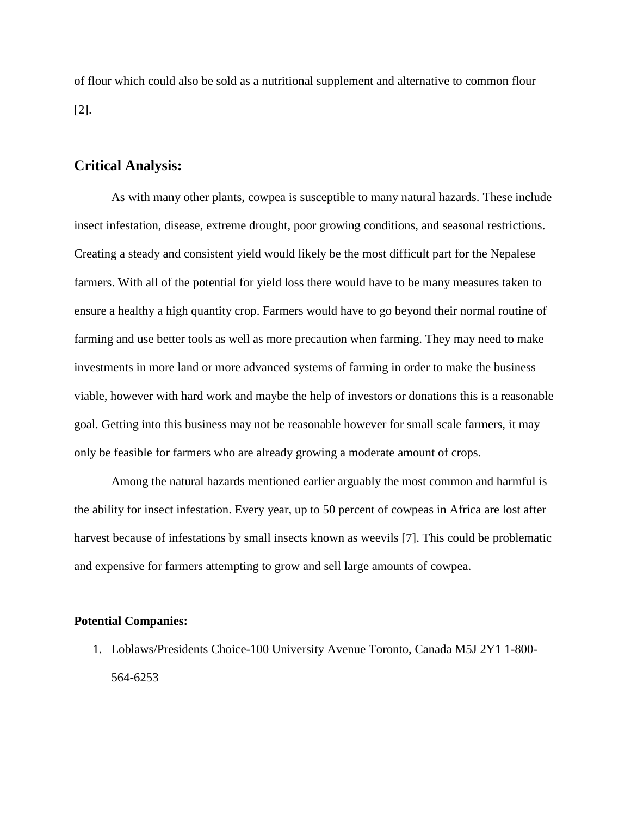of flour which could also be sold as a nutritional supplement and alternative to common flour [2].

### **Critical Analysis:**

As with many other plants, cowpea is susceptible to many natural hazards. These include insect infestation, disease, extreme drought, poor growing conditions, and seasonal restrictions. Creating a steady and consistent yield would likely be the most difficult part for the Nepalese farmers. With all of the potential for yield loss there would have to be many measures taken to ensure a healthy a high quantity crop. Farmers would have to go beyond their normal routine of farming and use better tools as well as more precaution when farming. They may need to make investments in more land or more advanced systems of farming in order to make the business viable, however with hard work and maybe the help of investors or donations this is a reasonable goal. Getting into this business may not be reasonable however for small scale farmers, it may only be feasible for farmers who are already growing a moderate amount of crops.

Among the natural hazards mentioned earlier arguably the most common and harmful is the ability for insect infestation. Every year, up to 50 percent of cowpeas in Africa are lost after harvest because of infestations by small insects known as weevils [7]. This could be problematic and expensive for farmers attempting to grow and sell large amounts of cowpea.

#### **Potential Companies:**

1. Loblaws/Presidents Choice-100 University Avenue Toronto, Canada M5J 2Y1 1-800- 564-6253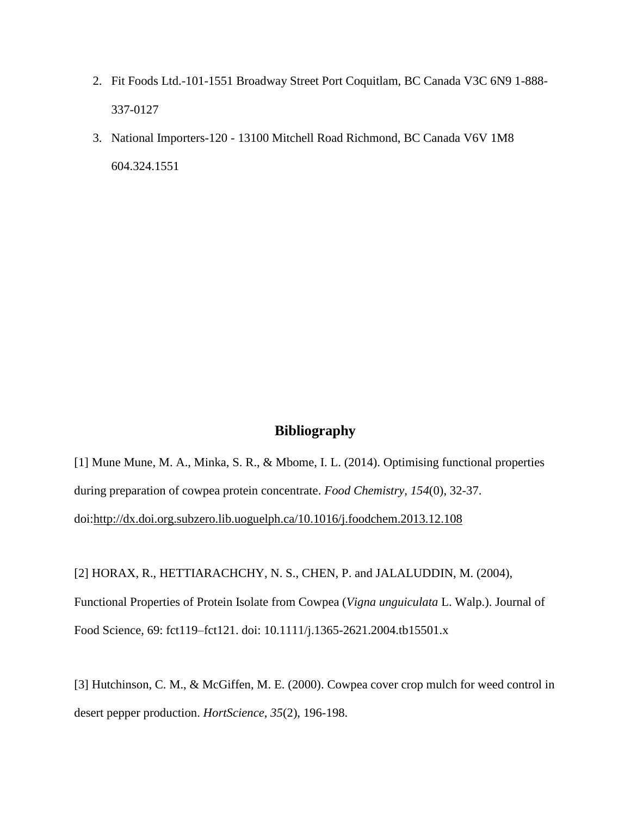- 2. Fit Foods Ltd.-101-1551 Broadway Street Port Coquitlam, BC Canada V3C 6N9 1-888- 337-0127
- 3. National Importers-120 13100 Mitchell Road Richmond, BC Canada V6V 1M8 604.324.1551

### **Bibliography**

[1] Mune Mune, M. A., Minka, S. R., & Mbome, I. L. (2014). Optimising functional properties during preparation of cowpea protein concentrate. *Food Chemistry, 154*(0), 32-37. doi[:http://dx.doi.org.subzero.lib.uoguelph.ca/10.1016/j.foodchem.2013.12.108](http://dx.doi.org.subzero.lib.uoguelph.ca/10.1016/j.foodchem.2013.12.108)

[2] HORAX, R., HETTIARACHCHY, N. S., CHEN, P. and JALALUDDIN, M. (2004),

Functional Properties of Protein Isolate from Cowpea (*Vigna unguiculata* L. Walp.). Journal of Food Science, 69: fct119–fct121. doi: 10.1111/j.1365-2621.2004.tb15501.x

[3] Hutchinson, C. M., & McGiffen, M. E. (2000). Cowpea cover crop mulch for weed control in desert pepper production. *HortScience*, *35*(2), 196-198.